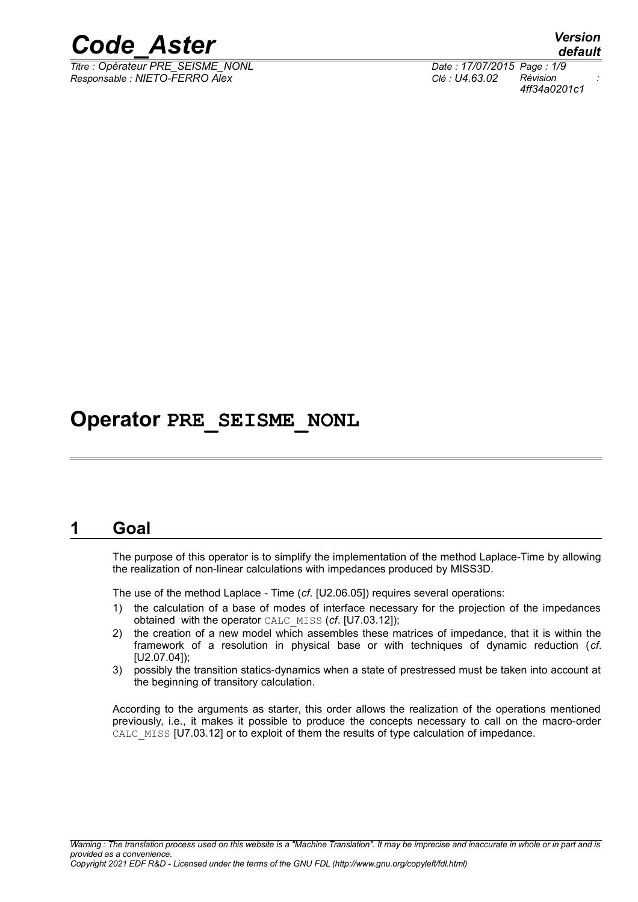

*Titre : Opérateur PRE\_SEISME\_NONL Date : 17/07/2015 Page : 1/9 Responsable : NIETO-FERRO Alex Clé : U4.63.02 Révision :*

*default 4ff34a0201c1*

# **Operator PRE\_SEISME\_NONL**

### **1 Goal**

The purpose of this operator is to simplify the implementation of the method Laplace-Time by allowing the realization of non-linear calculations with impedances produced by MISS3D.

The use of the method Laplace - Time (*cf*. [U2.06.05]) requires several operations:

- 1) the calculation of a base of modes of interface necessary for the projection of the impedances obtained with the operator CALC\_MISS (*cf*. [U7.03.12]);
- 2) the creation of a new model which assembles these matrices of impedance, that it is within the framework of a resolution in physical base or with techniques of dynamic reduction (*cf*. [U2.07.04]);
- 3) possibly the transition statics-dynamics when a state of prestressed must be taken into account at the beginning of transitory calculation.

According to the arguments as starter, this order allows the realization of the operations mentioned previously, i.e., it makes it possible to produce the concepts necessary to call on the macro-order CALC MISS [U7.03.12] or to exploit of them the results of type calculation of impedance.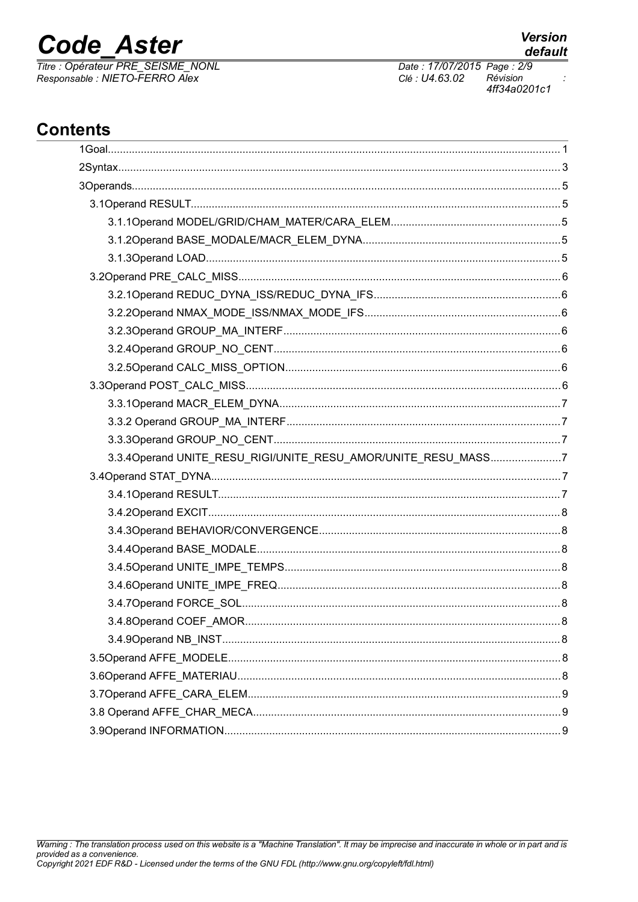# **Code Aster**

Titre : Opérateur PRE\_SEISME\_NONL<br>Responsable : NIETO-FERRO Alex

Date: 17/07/2015 Page: 2/9 Clé : U4.63.02 Révision 4ff34a0201c1

# **Contents**

| 3.3.4Operand UNITE_RESU_RIGI/UNITE_RESU_AMOR/UNITE_RESU_MASS7 |  |
|---------------------------------------------------------------|--|
|                                                               |  |
|                                                               |  |
|                                                               |  |
|                                                               |  |
|                                                               |  |
|                                                               |  |
|                                                               |  |
|                                                               |  |
|                                                               |  |
|                                                               |  |
|                                                               |  |
|                                                               |  |
|                                                               |  |
|                                                               |  |
|                                                               |  |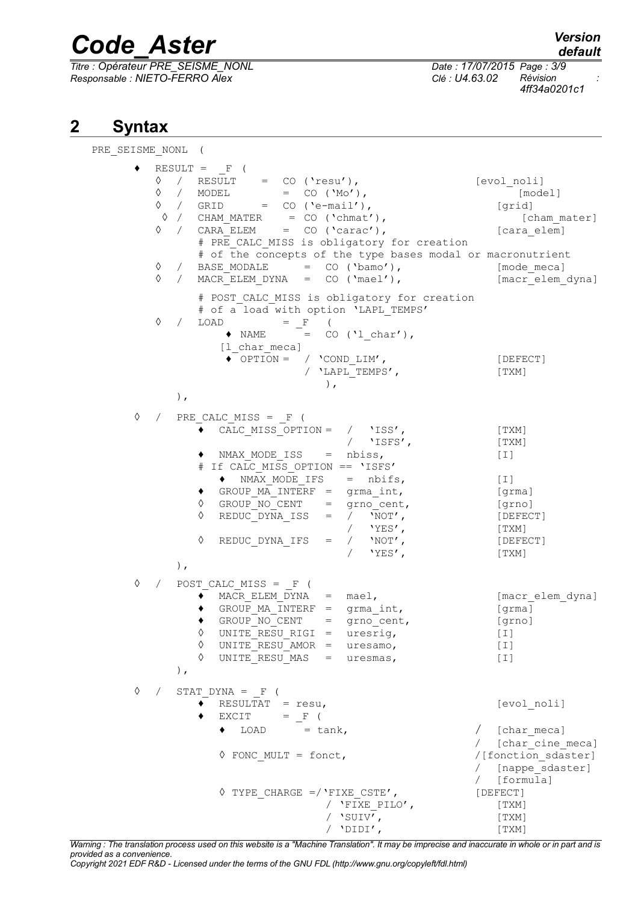*Titre : Opérateur PRE\_SEISME\_NONL Date : 17/07/2015 Page : 3/9 Responsable : NIETO-FERRO Alex Clé : U4.63.02 Révision :*

*default*

*4ff34a0201c1*

## **2 Syntax**

PRE\_SEISME\_NONL (  $\blacklozenge$  RESULT = F (  $\sqrt{2}$  / RESULT = CO ('resu'), [evol\_noli] ◊ / MODEL = CO ('Mo'), [model] ◊ / GRID = CO ('e-mail'), [grid] ◊ / CHAM\_MATER = CO ('chmat'), [cham\_mater] ◊ / CARA\_ELEM = CO ('carac'), [cara\_elem] # PRE CALC MISS is obligatory for creation # of the concepts of the type bases modal or macronutrient  $\Diamond$  / BASE MODALE = CO ('bamo'), [mode meca] ◊ / MACR\_ELEM\_DYNA = CO ('mael'), [macr\_elem\_dyna] # POST CALC MISS is obligatory for creation # of a load with option 'LAPL TEMPS'  $\Diamond$  / LOAD = F (  $\triangle$  NAME = CO ('l char'), [1 char meca]  $\begin{array}{ccc} \bullet^- \text{OPTION} = & / & ' \text{COND} & \text{LIM'} \end{array}$ , [DEFECT] / 'LAPL TEMPS', [TXM] ), ),  $\Diamond$  / PRE CALC MISS = F ( ♦ CALC\_MISS\_OPTION = / 'ISS', [TXM] / 'ISFS', [TXM]  $\bullet$  NMAX MODE ISS = nbiss,  $[1]$ # If CALC\_MISS\_OPTION == 'ISFS'  $\bullet$  NMAX MODE IFS = nbifs, [I]  $\bullet$  GROUP MA INTERF = grma int, [grma]  $\sqrt{Q}$  GROUP NO CENT = grno cent, [grno]  $\sqrt{Q}$  REDUC DYNA ISS =  $\sqrt{N}$   $\sqrt{N}$   $\sqrt{Q}$   $\sqrt{N}$   $\sqrt{Q}$   $\sqrt{Q}$   $\sqrt{Q}$   $\sqrt{Q}$ / 'YES',<br>/ 'NOT', [DEFE ◊ REDUC\_DYNA\_IFS = / 'NOT', [DEFECT] / 'YES', [TXM] ), ◊ / POST\_CALC\_MISS = \_F (  $\overline{\bullet}$  MACR ELEM DYNA = mael, [macrelem dyna]  $\bullet$  GROUP MA\_INTERF = grma\_int, [grma] ♦ GROUP\_NO\_CENT = grno\_cent, [grno]  $\sqrt{11}$  UNITE RESU RIGI = uresrig,  $[1]$ ◊ UNITE\_RESU\_AMOR = uresamo, [I] ◊ UNITE\_RESU\_MAS = uresmas, [I] ),  $\Diamond$  / STAT DYNA = F (  $\overline{\bullet}$  RESULTAT = resu,  $[evol_n]$  $\bullet$  EXCIT =  $_F$  (  $\bullet$  LOAD = tank,  $\qquad$  [char meca] / [char<sup>-</sup>cine meca]  $\sqrt{15}$  FONC MULT = fonct,  $\sqrt{15}$ / [nappe\_sdaster]  $/$  [formula]  $\Diamond$  TYPE CHARGE =/'FIXE CSTE',  $[DEFECT]$ / 'FIXE PILO', [TXM]  $\sqrt{SUV'}$ , [TXM] / 'DIDI', [TXM]

*Warning : The translation process used on this website is a "Machine Translation". It may be imprecise and inaccurate in whole or in part and is provided as a convenience.*

*Copyright 2021 EDF R&D - Licensed under the terms of the GNU FDL (http://www.gnu.org/copyleft/fdl.html)*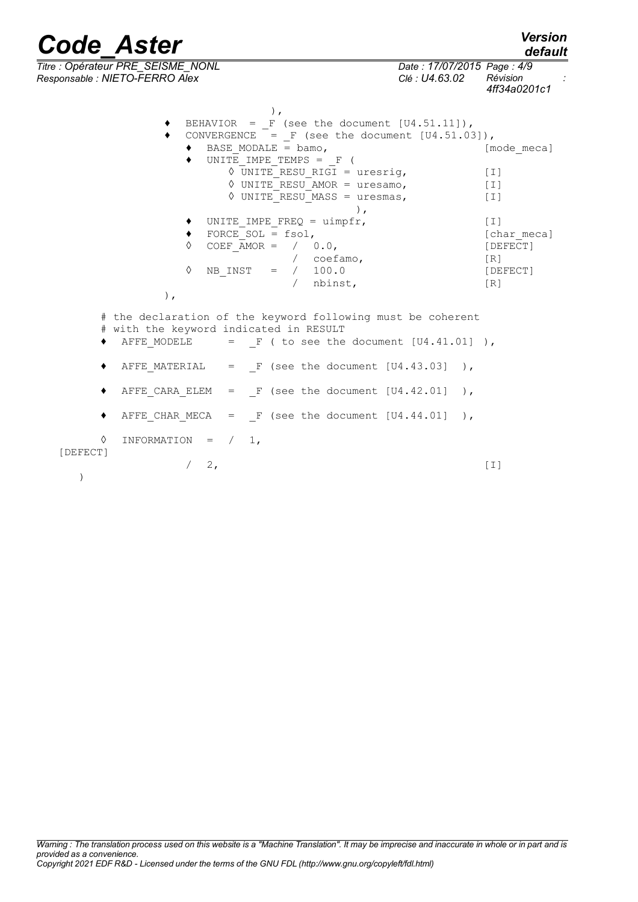*default*

*Titre : Opérateur PRE\_SEISME\_NONL Date : 17/07/2015 Page : 4/9 Responsable : NIETO-FERRO Alex Clé : U4.63.02 Révision :*

*4ff34a0201c1*

), BEHAVIOR =  $F$  (see the document  $[U4.51.11]$ ),  $\bullet$  CONVERGENCE = F (see the document [U4.51.03]),  $\bullet$  BASE MODALE = bamo, [mode meca]  $\bullet$  UNITE IMPE TEMPS =  $\bullet$  (  $\sqrt{U}$  UNITE RESU RIGI = uresrig, [I]  $\sqrt{V}$  UNITE RESU AMOR = uresamo, [I]  $\sqrt{$  UNITE RESU MASS = uresmas, [I] ),  $\bullet$  UNITE IMPE FREQ = uimpfr,  $[1]$  $\bullet$  FORCE SOL = fsol,  $\left[\text{char } \text{meca}\right]$ ◊ COEF\_AMOR = / 0.0, [DEFECT] / coefamo, [R]  $\sqrt{}$  NB INST = / 100.0 [DEFECT] / nbinst, [R] ), # the declaration of the keyword following must be coherent

 $/ 2$ , [I]

- # with the keyword indicated in RESULT<br>◆ AFFE MODELE = F ( to see the  $=$  F ( to see the document  $[U4.41.01]$  ),
- $\triangleleft$  AFFE MATERIAL = F (see the document [U4.43.03] ),
- $\blacklozenge$  AFFE CARA ELEM = F (see the document [U4.42.01] ),
- $\blacklozenge$  AFFE CHAR MECA = F (see the document [U4.44.01] ),
- $\Diamond$  INFORMATION =  $/ 1$ ,

[DEFECT]

)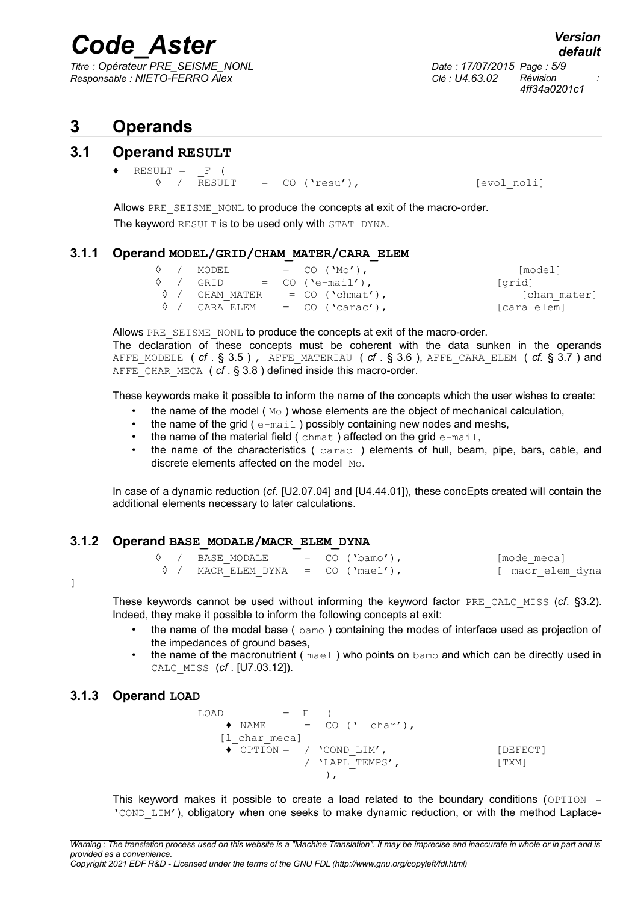*Titre : Opérateur PRE\_SEISME\_NONL Date : 17/07/2015 Page : 5/9 Responsable : NIETO-FERRO Alex Clé : U4.63.02 Révision :*

*4ff34a0201c1*

## **3 Operands**

### **3.1 Operand RESULT**

- $RESULT = F ($ 
	- $\Diamond$  / RESULT = CO ('resu'),  $[evol_{\text{no}}]$

Allows PRE\_SEISME\_NONL to produce the concepts at exit of the macro-order. The keyword RESULT is to be used only with STAT\_DYNA.

#### **3.1.1 Operand MODEL/GRID/CHAM\_MATER/CARA\_ELEM**

|  | 0 / MODEL                          | $=$ CO ('Mo'),                          | [model]      |
|--|------------------------------------|-----------------------------------------|--------------|
|  | $\Diamond$ / GRID = CO ('e-mail'), |                                         | [qrid]       |
|  |                                    | $\Diamond$ / CHAM MATER = CO ('chmat'), | [cham mater] |
|  | 0 / CARA ELEM                      | $=$ CO ('carac'),                       | [cara elem]  |

Allows PRE\_SEISME\_NONL to produce the concepts at exit of the macro-order.

The declaration of these concepts must be coherent with the data sunken in the operands AFFE MODELE  $(rf. \S 3.5)$ , AFFE MATERIAU  $(rf. \S 3.6)$ , AFFE CARA ELEM  $(rf. \S 3.7)$  and AFFE CHAR MECA ( *cf* . § [3.8](#page-8-0) ) defined inside this macro-order.

These keywords make it possible to inform the name of the concepts which the user wishes to create:

- the name of the model  $(M<sub>o</sub>)$  whose elements are the object of mechanical calculation,
- the name of the grid ( $e$ -mail) possibly containing new nodes and meshs,
- the name of the material field (chmat) affected on the grid e-mail,
- the name of the characteristics ( carac ) elements of hull, beam, pipe, bars, cable, and discrete elements affected on the model Mo.

In case of a dynamic reduction (*cf.* [U2.07.04] and [U4.44.01]), these concEpts created will contain the additional elements necessary to later calculations.

#### **3.1.2 Operand BASE\_MODALE/MACR\_ELEM\_DYNA**

|  | 0 / BASE MODALE                            | $=$ CO ('bamo'), | [mode meca]      |
|--|--------------------------------------------|------------------|------------------|
|  | $\Diamond$ / MACR ELEM DYNA = CO ('mael'), |                  | [ macr elem dyna |

]

These keywords cannot be used without informing the keyword factor PRE\_CALC\_MISS (*cf*. [§3.2\)](#page-5-0). Indeed, they make it possible to inform the following concepts at exit:

- the name of the modal base ( $bamo$ ) containing the modes of interface used as projection of the impedances of ground bases,
- the name of the macronutrient ( $_{\text{mael}}$ ) who points on  $_{\text{bamo}}$  and which can be directly used in CALC\_MISS (*cf* . [U7.03.12]).

#### <span id="page-4-0"></span>**3.1.3 Operand LOAD**

 $\text{LOAD}$  = F (  $\triangle$  NAME = CO ('l char'), [1 char meca]  $\sqrt{\overline{OPT}}$ OPTION = / 'COND LIM', [DEFECT] / 'LAPL TEMPS', [TXM] ),

This keyword makes it possible to create a load related to the boundary conditions ( $OPTION =$ 'COND\_LIM'), obligatory when one seeks to make dynamic reduction, or with the method Laplace-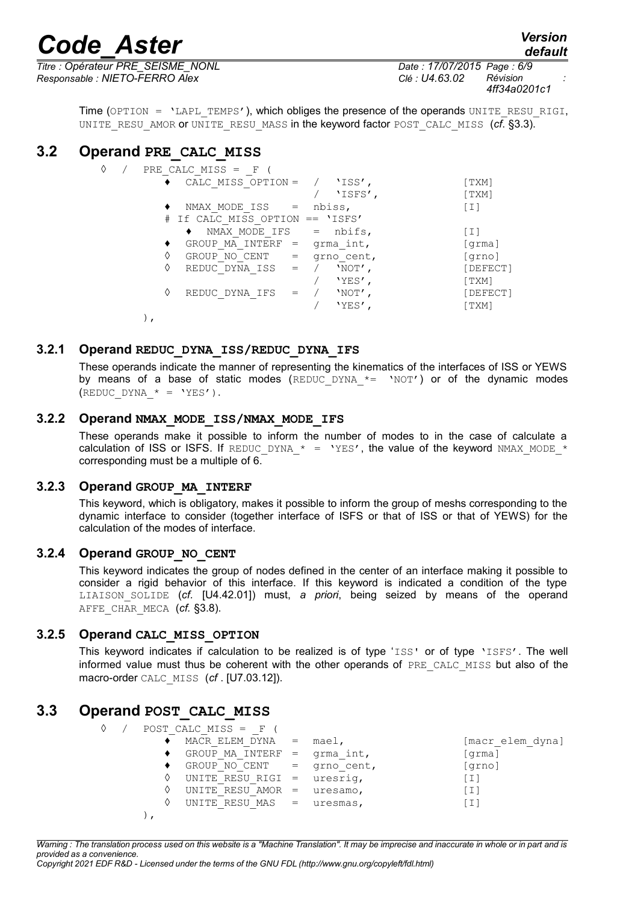*Titre : Opérateur PRE\_SEISME\_NONL Date : 17/07/2015 Page : 6/9 Responsable : NIETO-FERRO Alex Clé : U4.63.02 Révision :*

*4ff34a0201c1*

*default*

Time (OPTION = 'LAPL\_TEMPS'), which obliges the presence of the operands UNITE\_RESU\_RIGI, UNITE\_RESU\_AMOR or UNITE\_RESU\_MASS in the keyword factor POST\_CALC\_MISS (*cf*. [§3.3\)](#page-5-1).

### **3.2 Operand PRE\_CALC\_MISS**

<span id="page-5-0"></span>

| ♦ |  | PRE CALC MISS $=$ F             |     |            |                   |
|---|--|---------------------------------|-----|------------|-------------------|
|   |  | CALC MISS OPTION = $/$ 'ISS',   |     |            | [ TXM]            |
|   |  |                                 |     | 'ISFS',    | [TXM]             |
|   |  | $NMAX MODE ISS =$               |     | nbiss,     | $\lceil 1 \rceil$ |
|   |  | # If CALC MISS OPTION == 'ISFS' |     |            |                   |
|   |  | NMAX MODE IFS                   |     | $=$ nbifs, | $\lceil 1 \rceil$ |
|   |  | GROUP MA INTERF =               |     | grma int,  | [qrma]            |
|   |  | GROUP NO CENT                   | $=$ | grno cent, | [grno]            |
|   |  | REDUC DYNA ISS                  | $=$ | 'NOT',     | [DEFECT]          |
|   |  |                                 |     | 'YES',     | [TXM]             |
|   |  | REDUC DYNA IFS                  |     | $'NOT'$ ,  | [DEFECT]          |
|   |  |                                 |     | 'YES'      | [TXM]             |
|   |  |                                 |     |            |                   |

#### **3.2.1 Operand REDUC\_DYNA\_ISS/REDUC\_DYNA\_IFS**

These operands indicate the manner of representing the kinematics of the interfaces of ISS or YEWS by means of a base of static modes (REDUC DYNA  $*$  'NOT') or of the dynamic modes (REDUC DYNA  $* = 'YES'.$ ).

#### **3.2.2 Operand NMAX\_MODE\_ISS/NMAX\_MODE\_IFS**

These operands make it possible to inform the number of modes to in the case of calculate a calculation of ISS or ISFS. If REDUC DYNA  $* = 'YES'$ , the value of the keyword NMAX MODE  $*$ corresponding must be a multiple of 6.

#### **3.2.3 Operand GROUP\_MA\_INTERF**

<span id="page-5-3"></span>This keyword, which is obligatory, makes it possible to inform the group of meshs corresponding to the dynamic interface to consider (together interface of ISFS or that of ISS or that of YEWS) for the calculation of the modes of interface.

#### **3.2.4 Operand GROUP\_NO\_CENT**

<span id="page-5-2"></span>This keyword indicates the group of nodes defined in the center of an interface making it possible to consider a rigid behavior of this interface. If this keyword is indicated a condition of the type LIAISON\_SOLIDE (*cf.* [U4.42.01]) must, *a priori*, being seized by means of the operand AFFE CHAR MECA (cf. [§3.8\)](#page-8-0).

#### **3.2.5 Operand CALC\_MISS\_OPTION**

This keyword indicates if calculation to be realized is of type 'ISS' or of type 'ISFS'. The well informed value must thus be coherent with the other operands of PRE CALC MISS but also of the macro-order CALC\_MISS (*cf* . [U7.03.12]).

### **3.3 Operand POST\_CALC\_MISS**

<span id="page-5-1"></span>

| ♦ |  | POST CALC MISS $=$ F           |           |                  |
|---|--|--------------------------------|-----------|------------------|
|   |  | MACR ELEM DYNA                 | $=$ mael, | [macr elem dyna] |
|   |  | GROUP MA INTERF = $q$ rma int, |           | [qrma]           |
|   |  | GROUP NO CENT $=$ grno cent,   |           | [grno]           |
|   |  | UNITE RESU RIGI = $uresriq$ ,  |           | 'I]              |
|   |  | UNITE RESU AMOR $=$ uresamo,   |           | [I]              |
|   |  | UNITE RESU MAS = $u$ resmas,   |           | [I]              |
|   |  |                                |           |                  |

*Warning : The translation process used on this website is a "Machine Translation". It may be imprecise and inaccurate in whole or in part and is provided as a convenience.*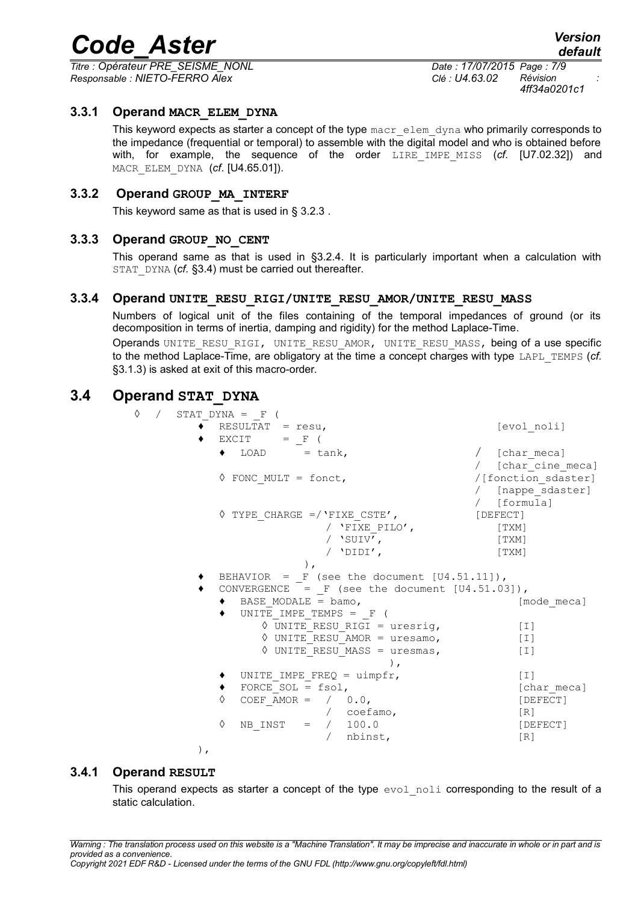*Titre : Opérateur PRE\_SEISME\_NONL Date : 17/07/2015 Page : 7/9 Responsable : NIETO-FERRO Alex Clé : U4.63.02 Révision :*

*default*

*4ff34a0201c1*

#### **3.3.1 Operand MACR\_ELEM\_DYNA**

This keyword expects as starter a concept of the type macr elem dyna who primarily corresponds to the impedance (frequential or temporal) to assemble with the digital model and who is obtained before with, for example, the sequence of the order LIRE IMPE\_MISS (cf. [U7.02.32]) and MACR\_ELEM\_DYNA (*cf*. [U4.65.01]).

#### **3.3.2 Operand GROUP\_MA\_INTERF**

This keyword same as that is used in § [3.2.3](#page-5-3) .

#### **3.3.3 Operand GROUP\_NO\_CENT**

This operand same as that is used in [§3.2.4.](#page-5-2) It is particularly important when a calculation with STAT\_DYNA (*cf.* [§3.4\)](#page-6-0) must be carried out thereafter.

#### **3.3.4 Operand UNITE\_RESU\_RIGI/UNITE\_RESU\_AMOR/UNITE\_RESU\_MASS**

<span id="page-6-1"></span>Numbers of logical unit of the files containing of the temporal impedances of ground (or its decomposition in terms of inertia, damping and rigidity) for the method Laplace-Time.

Operands UNITE\_RESU\_RIGI, UNITE\_RESU\_AMOR, UNITE\_RESU\_MASS, being of a use specific to the method Laplace-Time, are obligatory at the time a concept charges with type LAPL\_TEMPS (*cf.* [§3.1.3\)](#page-4-0) is asked at exit of this macro-order.

#### **3.4 Operand STAT\_DYNA**

<span id="page-6-0"></span>

| 0<br>$\sqrt{2}$ | STAT DYNA = F (                                  |                     |
|-----------------|--------------------------------------------------|---------------------|
|                 | RESULTAT = $resu,$                               | [evol noli]         |
|                 | $EXCIT = F ($                                    |                     |
|                 | $\bullet$ LOAD = tank,                           | / [char meca]       |
|                 |                                                  | / [char cine meca]  |
|                 | $\Diamond$ FONC MULT = fonct,                    | /[fonction sdaster] |
|                 |                                                  | / [nappe sdaster]   |
|                 |                                                  | / [formula]         |
|                 | $\Diamond$ TYPE CHARGE =/ 'FIXE CSTE',           | [DEFECT]            |
|                 | / 'FIXE PILO',                                   | [TXM]               |
|                 | / 'SUIV',                                        | [TXM]               |
|                 | / $'$ DIDI $'$ ,                                 | [TXM]               |
|                 | $\,$ ,                                           |                     |
|                 | BEHAVIOR = F (see the document $[U4.51.11]$ ),   |                     |
|                 | CONVERGENCE = $F$ (see the document [U4.51.03]), |                     |
|                 | BASE MODALE = $bam$ ,                            | [mode meca]         |
|                 | UNITE IMPE TEMPS = $F$ (                         |                     |
|                 | $\Diamond$ UNITE RESU RIGI = uresrig,            | [T]                 |
|                 | $\Diamond$ UNITE RESU AMOR = uresamo,            | $[1]$               |
|                 | $\Diamond$ UNITE RESU MASS = uresmas,            | $\lceil 1 \rceil$   |
|                 |                                                  |                     |
|                 | UNITE IMPE FREQ = $\text{uimpfr}$ ,              | [T]                 |
|                 | FORCE SOL = $fsol,$                              | [char meca]         |
|                 | COEF AMOR = $/ 0.0,$<br>♦                        | [DEFECT]            |
|                 | $/$ coefamo,                                     | [R]                 |
|                 | NB INST = / 100.0<br>♦                           | [DEFECT]            |
|                 | nbinst,<br>$\sqrt{2}$                            | [R]                 |
|                 | $\,$ ,                                           |                     |

#### **3.4.1 Operand RESULT**

<span id="page-6-2"></span>This operand expects as starter a concept of the type evol noli corresponding to the result of a static calculation.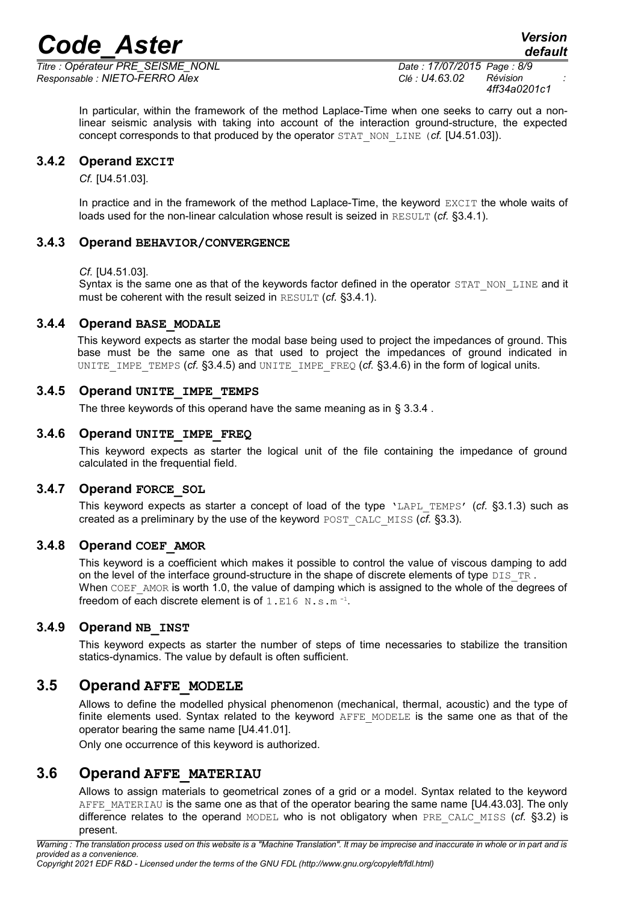*Titre : Opérateur PRE\_SEISME\_NONL Date : 17/07/2015 Page : 8/9 Responsable : NIETO-FERRO Alex Clé : U4.63.02 Révision :*

*4ff34a0201c1*

In particular, within the framework of the method Laplace-Time when one seeks to carry out a nonlinear seismic analysis with taking into account of the interaction ground-structure, the expected concept corresponds to that produced by the operator STAT\_NON\_LINE (*cf.* [U4.51.03]).

#### **3.4.2 Operand EXCIT**

*Cf.* [U4.51.03].

In practice and in the framework of the method Laplace-Time, the keyword EXCIT the whole waits of loads used for the non-linear calculation whose result is seized in RESULT (*cf.* [§3.4.1\)](#page-6-2).

#### **3.4.3 Operand BEHAVIOR/CONVERGENCE**

*Cf.* [U4.51.03].

Syntax is the same one as that of the keywords factor defined in the operator STAT\_NON\_LINE and it must be coherent with the result seized in RESULT (*cf.* [§3.4.1\)](#page-6-2).

#### **3.4.4 Operand BASE\_MODALE**

This keyword expects as starter the modal base being used to project the impedances of ground. This base must be the same one as that used to project the impedances of ground indicated in UNITE\_IMPE\_TEMPS (*cf.* [§3.4.5\)](#page-7-3) and UNITE\_IMPE\_FREQ (*cf.* [§3.4.6\)](#page-7-2) in the form of logical units.

#### **3.4.5 Operand UNITE\_IMPE\_TEMPS**

<span id="page-7-3"></span>The three keywords of this operand have the same meaning as in § [3.3.4](#page-6-1).

#### **3.4.6 Operand UNITE\_IMPE\_FREQ**

<span id="page-7-2"></span>This keyword expects as starter the logical unit of the file containing the impedance of ground calculated in the frequential field.

#### **3.4.7 Operand FORCE\_SOL**

This keyword expects as starter a concept of load of the type 'LAPL\_TEMPS' (*cf.* [§3.1.3\)](#page-4-0) such as created as a preliminary by the use of the keyword POST\_CALC\_MISS (*cf.* [§3.3\)](#page-5-1).

#### **3.4.8 Operand COEF\_AMOR**

This keyword is a coefficient which makes it possible to control the value of viscous damping to add on the level of the interface ground-structure in the shape of discrete elements of type DIS\_TR. When COEF AMOR is worth 1.0, the value of damping which is assigned to the whole of the degrees of freedom of each discrete element is of  $1.$  E16  $\,$  N.s.m<sup>-1</sup>.

#### **3.4.9 Operand NB\_INST**

This keyword expects as starter the number of steps of time necessaries to stabilize the transition statics-dynamics. The value by default is often sufficient.

#### **3.5 Operand AFFE\_MODELE**

<span id="page-7-0"></span>Allows to define the modelled physical phenomenon (mechanical, thermal, acoustic) and the type of finite elements used. Syntax related to the keyword AFFE\_MODELE is the same one as that of the operator bearing the same name [U4.41.01].

Only one occurrence of this keyword is authorized.

### **3.6 Operand AFFE\_MATERIAU**

<span id="page-7-1"></span>Allows to assign materials to geometrical zones of a grid or a model. Syntax related to the keyword AFFE\_MATERIAU is the same one as that of the operator bearing the same name [U4.43.03]. The only difference relates to the operand MODEL who is not obligatory when PRE\_CALC\_MISS (*cf.* [§3.2\)](#page-5-0) is present.